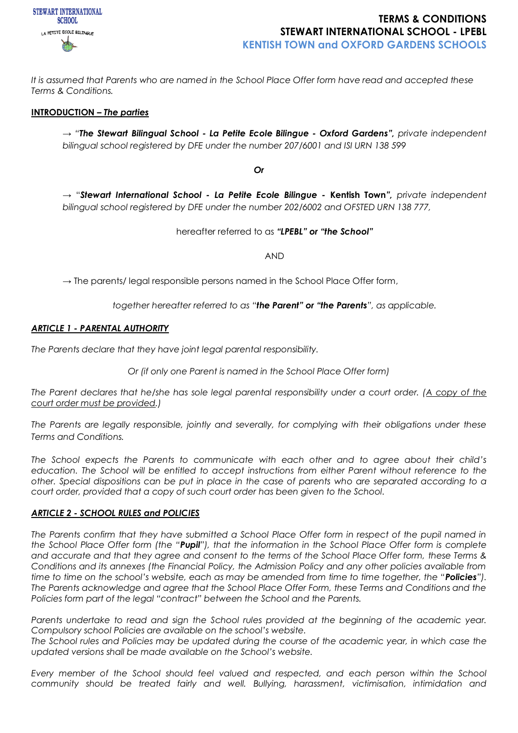

*It is assumed that Parents who are named in the School Place Offer form have read and accepted these Terms & Conditions.*

#### **INTRODUCTION –** *The parties*

→ *"The Stewart Bilingual School - La Petite Ecole Bilingue - Oxford Gardens", private independent bilingual school registered by DFE under the number 207/6001 and ISI URN 138 599*

*Or*

→ "*Stewart International School - La Petite Ecole Bilingue -* **Kentish Town***", private independent bilingual school registered by DFE under the number 202/6002 and OFSTED URN 138 777,*

hereafter referred to as *"LPEBL" or "the School"*

AND

**→** The parents/ legal responsible persons named in the School Place Offer form,

*together hereafter referred to as "the Parent" or "the Parents", as applicable.*

#### *ARTICLE 1 - PARENTAL AUTHORITY*

*The Parents declare that they have joint legal parental responsibility.*

*Or (if only one Parent is named in the School Place Offer form)* 

*The Parent declares that he/she has sole legal parental responsibility under a court order. (A copy of the court order must be provided.)*

*The Parents are legally responsible, jointly and severally, for complying with their obligations under these Terms and Conditions.*

*The School expects the Parents to communicate with each other and to agree about their child's education. The School will be entitled to accept instructions from either Parent without reference to the other. Special dispositions can be put in place in the case of parents who are separated according to a court order, provided that a copy of such court order has been given to the School.*

#### *ARTICLE 2 - SCHOOL RULES and POLICIES*

*The Parents confirm that they have submitted a School Place Offer form in respect of the pupil named in the School Place Offer form (the "Pupil"), that the information in the School Place Offer form is complete and accurate and that they agree and consent to the terms of the School Place Offer form, these Terms & Conditions and its annexes (the Financial Policy, the Admission Policy and any other policies available from time to time on the school's website, each as may be amended from time to time together, the "Policies"). The Parents acknowledge and agree that the School Place Offer Form, these Terms and Conditions and the Policies form part of the legal "contract" between the School and the Parents.*

*Parents undertake to read and sign the School rules provided at the beginning of the academic year. Compulsory school Policies are available on the school's website.*

*The School rules and Policies may be updated during the course of the academic year, in which case the updated versions shall be made available on the School's website.*

*Every member of the School should feel valued and respected, and each person within the School community should be treated fairly and well. Bullying, harassment, victimisation, intimidation and*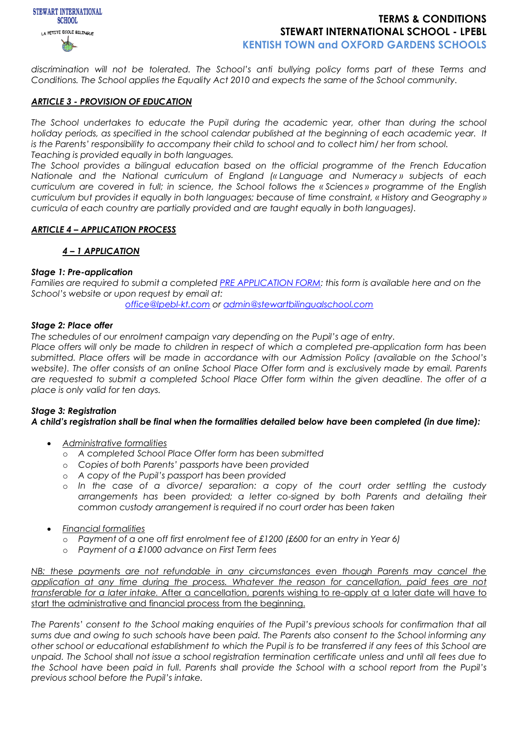

*discrimination will not be tolerated. The School's anti bullying policy forms part of these Terms and Conditions. The School applies the Equality Act 2010 and expects the same of the School community.*

#### *ARTICLE 3 - PROVISION OF EDUCATION*

*The School undertakes to educate the Pupil during the academic year, other than during the school holiday periods, as specified in the school calendar published at the beginning of each academic year. It is the Parents' responsibility to accompany their child to school and to collect him/ her from school. Teaching is provided equally in both languages.*

*The School provides a bilingual education based on the official programme of the French Education Nationale and the National curriculum of England (« Language and Numeracy » subjects of each curriculum are covered in full; in science, the School follows the « Sciences » programme of the English curriculum but provides it equally in both languages; because of time constraint, « History and Geography » curricula of each country are partially provided and are taught equally in both languages).*

### *ARTICLE 4 – APPLICATION PROCESS*

### *4 – 1 APPLICATION*

#### *Stage 1: Pre-application*

*Families are required to submit a completed [PRE APPLICATION FORM:](https://docs.google.com/forms/d/e/1FAIpQLSfIWDoO34XKv6Kdfe5fqoxIMfv_xpiZQEBbwjqPokDcE41-fg/viewform) this form is available here and on the School's website or upon request by email at:* 

*[office@lpebl-kt.com](mailto:office@lpebl-kt.com) or [admin@stewartbilingualschool.com](mailto:admin@stewartbilingualschool.com)*

### *Stage 2: Place offer*

*The schedules of our enrolment campaign vary depending on the Pupil's age of entry.*

*Place offers will only be made to children in respect of which a completed pre-application form has been submitted. Place offers will be made in accordance with our Admission Policy (available on the School's website). The offer consists of an online School Place Offer form and is exclusively made by email. Parents are requested to submit a completed School Place Offer form within the given deadline. The offer of a place is only valid for ten days.*

## *Stage 3: Registration A child's registration shall be final when the formalities detailed below have been completed (in due time):*

- *Administrative formalities*
	- o *A completed School Place Offer form has been submitted*
	- o *Copies of both Parents' passports have been provided*
	- o *A copy of the Pupil's passport has been provided*
	- o *In the case of a divorce/ separation: a copy of the court order settling the custody arrangements has been provided; a letter co-signed by both Parents and detailing their common custody arrangement is required if no court order has been taken*
- *Financial formalities*
	- o *Payment of a one off first enrolment fee of £1200 (£600 for an entry in Year 6)*
	- o *Payment of a £1000 advance on First Term fees*

*NB: these payments are not refundable in any circumstances even though Parents may cancel the application at any time during the process. Whatever the reason for cancellation, paid fees are not transferable for a later intake.* After a cancellation, parents wishing to re-apply at a later date will have to start the administrative and financial process from the beginning.

*The Parents' consent to the School making enquiries of the Pupil's previous schools for confirmation that all sums due and owing to such schools have been paid. The Parents also consent to the School informing any other school or educational establishment to which the Pupil is to be transferred if any fees of this School are unpaid. The School shall not issue a school registration termination certificate unless and until all fees due to the School have been paid in full. Parents shall provide the School with a school report from the Pupil's previous school before the Pupil's intake.*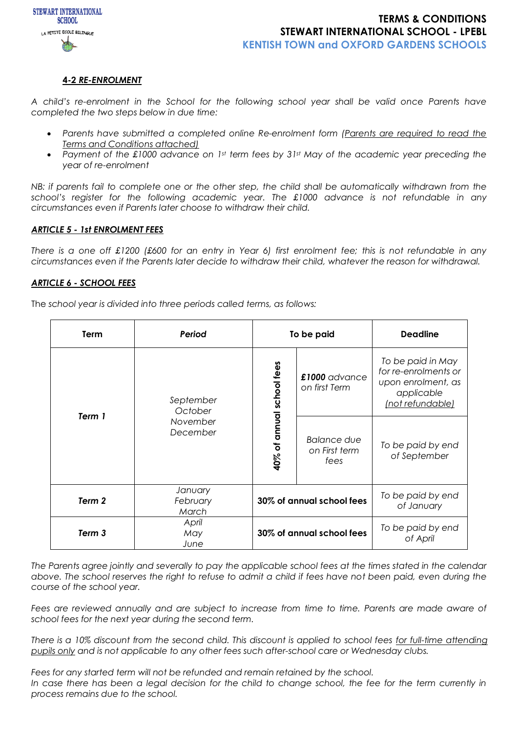

### **4-2** *RE-ENROLMENT*

*A child's re-enrolment in the School for the following school year shall be valid once Parents have completed the two steps below in due time:*

- *Parents have submitted a completed online Re-enrolment form (Parents are required to read the Terms and Conditions attached)*
- *Payment of the £1000 advance on 1st term fees by 31st May of the academic year preceding the year of re-enrolment*

*NB: if parents fail to complete one or the other step, the child shall be automatically withdrawn from the school's register for the following academic year. The £1000 advance is not refundable in any circumstances even if Parents later choose to withdraw their child.*

#### *ARTICLE 5 - 1st ENROLMENT FEES*

*There is a one off £1200 (£600 for an entry in Year 6) first enrolment fee; this is not refundable in any circumstances even if the Parents later decide to withdraw their child, whatever the reason for withdrawal.*

#### *ARTICLE 6 - SCHOOL FEES*

The *school year is divided into three periods called terms, as follows:*

| Term              | Period                                       | To be paid                |                                             | <b>Deadline</b>                                                                                   |
|-------------------|----------------------------------------------|---------------------------|---------------------------------------------|---------------------------------------------------------------------------------------------------|
| Term 1            | September<br>October<br>November<br>December | 40% of annual school fees | £1000 advance<br>on first Term              | To be paid in May<br>for re-enrolments or<br>upon enrolment, as<br>applicable<br>(not refundable) |
|                   |                                              |                           | <b>Balance due</b><br>on First term<br>fees | To be paid by end<br>of September                                                                 |
| Term 2            | January<br>February<br>March                 | 30% of annual school fees |                                             | To be paid by end<br>of January                                                                   |
| Term <sub>3</sub> | April<br>May<br>June                         | 30% of annual school fees |                                             | To be paid by end<br>of April                                                                     |

*The Parents agree jointly and severally to pay the applicable school fees at the times stated in the calendar above. The school reserves the right to refuse to admit a child if fees have not been paid, even during the course of the school year.* 

Fees are reviewed annually and are subject to increase from time to time. Parents are made aware of *school fees for the next year during the second term.*

*There is a 10% discount from the second child. This discount is applied to school fees for full-time attending pupils only and is not applicable to any other fees such after-school care or Wednesday clubs.*

*Fees for any started term will not be refunded and remain retained by the school.* In case there has been a legal decision for the child to change school, the fee for the term currently in *process remains due to the school.*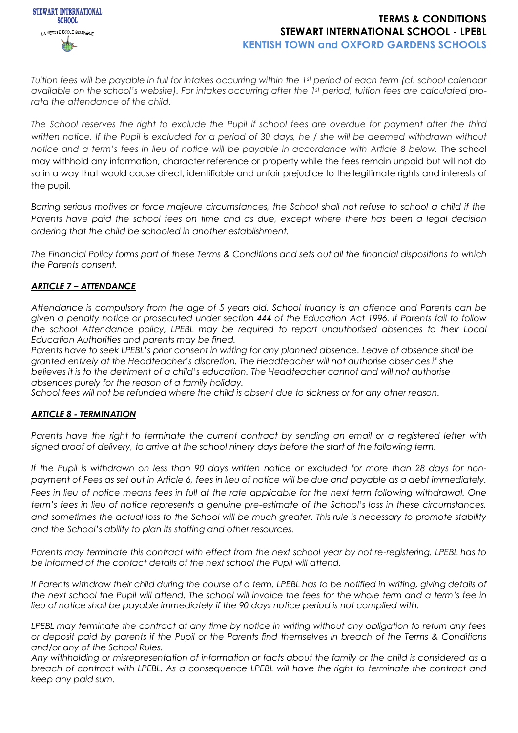

*Tuition fees will be payable in full for intakes occurring within the 1st period of each term (cf. school calendar available on the school's website). For intakes occurring after the 1st period, tuition fees are calculated prorata the attendance of the child.*

*The School reserves the right to exclude the Pupil if school fees are overdue for payment after the third written notice. If the Pupil is excluded for a period of 30 days, he / she will be deemed withdrawn without notice and a term's fees in lieu of notice will be payable in accordance with Article 8 below.* The school may withhold any information, character reference or property while the fees remain unpaid but will not do so in a way that would cause direct, identifiable and unfair prejudice to the legitimate rights and interests of the pupil.

*Barring serious motives or force majeure circumstances, the School shall not refuse to school a child if the*  Parents have paid the school fees on time and as due, except where there has been a legal decision *ordering that the child be schooled in another establishment.*

*The Financial Policy forms part of these Terms & Conditions and sets out all the financial dispositions to which the Parents consent.*

## *ARTICLE 7 – ATTENDANCE*

*Attendance is compulsory from the age of 5 years old. School truancy is an offence and Parents can be given a penalty notice or prosecuted under section 444 of the Education Act 1996. If Parents fail to follow the school Attendance policy, LPEBL may be required to report unauthorised absences to their Local Education Authorities and parents may be fined.*

*Parents have to seek LPEBL's prior consent in writing for any planned absence. Leave of absence shall be granted entirely at the Headteacher's discretion. The Headteacher will not authorise absences if she believes it is to the detriment of a child's education. The Headteacher cannot and will not authorise absences purely for the reason of a family holiday.* 

*School fees will not be refunded where the child is absent due to sickness or for any other reason.*

## *ARTICLE 8 - TERMINATION*

*Parents have the right to terminate the current contract by sending an email or a registered letter with signed proof of delivery, to arrive at the school ninety days before the start of the following term.* 

*If the Pupil is withdrawn on less than 90 days written notice or excluded for more than 28 days for nonpayment of Fees as set out in Article 6, fees in lieu of notice will be due and payable as a debt immediately.*  Fees in lieu of notice means fees in full at the rate applicable for the next term following withdrawal. One *term's fees in lieu of notice represents a genuine pre-estimate of the School's loss in these circumstances, and sometimes the actual loss to the School will be much greater. This rule is necessary to promote stability and the School's ability to plan its staffing and other resources.*

*Parents may terminate this contract with effect from the next school year by not re-registering. LPEBL has to be informed of the contact details of the next school the Pupil will attend.*

*If Parents withdraw their child during the course of a term, LPEBL has to be notified in writing, giving details of the next school the Pupil will attend. The school will invoice the fees for the whole term and a term's fee in lieu of notice shall be payable immediately if the 90 days notice period is not complied with.*

*LPEBL may terminate the contract at any time by notice in writing without any obligation to return any fees or deposit paid by parents if the Pupil or the Parents find themselves in breach of the Terms & Conditions and/or any of the School Rules.*

*Any withholding or misrepresentation of information or facts about the family or the child is considered as a breach of contract with LPEBL. As a consequence LPEBL will have the right to terminate the contract and keep any paid sum.*